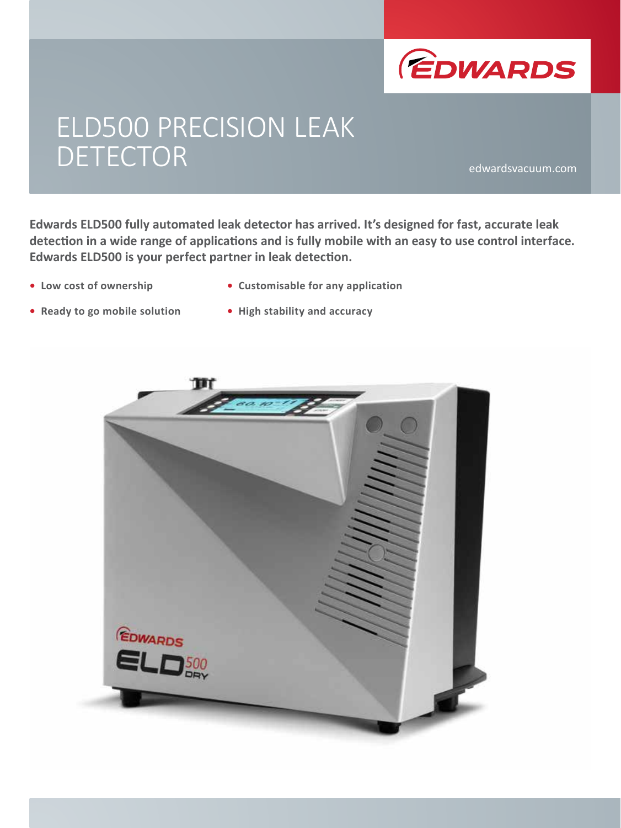

# ELD500 PRECISION LEAK DETECTOR edwardsvacuum.com

**Edwards ELD500 fully automated leak detector has arrived. It's designed for fast, accurate leak detection in a wide range of applications and is fully mobile with an easy to use control interface. Edwards ELD500 is your perfect partner in leak detection.**

- **• Low cost of ownership**
- **• Customisable for any application**
- **• Ready to go mobile solution**
- **• High stability and accuracy**